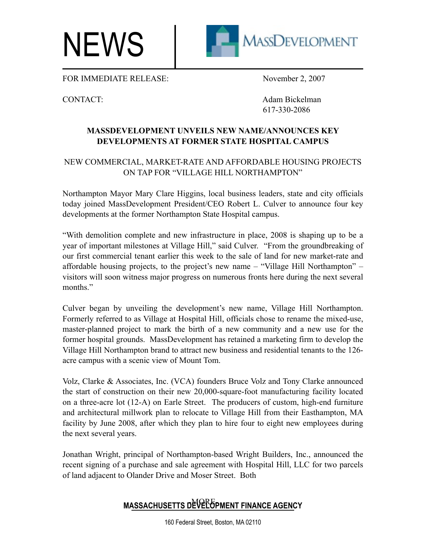NEWS



FOR IMMEDIATE RELEASE: November 2, 2007

CONTACT: Adam Bickelman 617-330-2086

## **MASSDEVELOPMENT UNVEILS NEW NAME/ANNOUNCES KEY DEVELOPMENTS AT FORMER STATE HOSPITAL CAMPUS**

## NEW COMMERCIAL, MARKET-RATE AND AFFORDABLE HOUSING PROJECTS ON TAP FOR "VILLAGE HILL NORTHAMPTON"

Northampton Mayor Mary Clare Higgins, local business leaders, state and city officials today joined MassDevelopment President/CEO Robert L. Culver to announce four key developments at the former Northampton State Hospital campus.

"With demolition complete and new infrastructure in place, 2008 is shaping up to be a year of important milestones at Village Hill," said Culver. "From the groundbreaking of our first commercial tenant earlier this week to the sale of land for new market-rate and affordable housing projects, to the project's new name – "Village Hill Northampton" – visitors will soon witness major progress on numerous fronts here during the next several months."

Culver began by unveiling the development's new name, Village Hill Northampton. Formerly referred to as Village at Hospital Hill, officials chose to rename the mixed-use, master-planned project to mark the birth of a new community and a new use for the former hospital grounds. MassDevelopment has retained a marketing firm to develop the Village Hill Northampton brand to attract new business and residential tenants to the 126 acre campus with a scenic view of Mount Tom.

Volz, Clarke & Associates, Inc. (VCA) founders Bruce Volz and Tony Clarke announced the start of construction on their new 20,000-square-foot manufacturing facility located on a three-acre lot (12-A) on Earle Street. The producers of custom, high-end furniture and architectural millwork plan to relocate to Village Hill from their Easthampton, MA facility by June 2008, after which they plan to hire four to eight new employees during the next several years.

Jonathan Wright, principal of Northampton-based Wright Builders, Inc., announced the recent signing of a purchase and sale agreement with Hospital Hill, LLC for two parcels of land adjacent to Olander Drive and Moser Street. Both

## MASSACHUSETTS D<sup>N</sup>V REGIMENT FINANCE AGENCY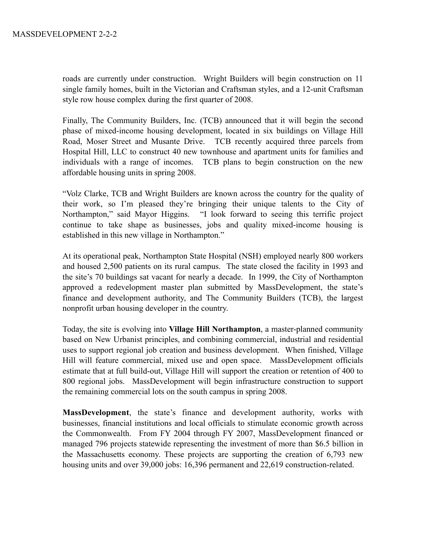roads are currently under construction. Wright Builders will begin construction on 11 single family homes, built in the Victorian and Craftsman styles, and a 12-unit Craftsman style row house complex during the first quarter of 2008.

Finally, The Community Builders, Inc. (TCB) announced that it will begin the second phase of mixed-income housing development, located in six buildings on Village Hill Road, Moser Street and Musante Drive. TCB recently acquired three parcels from Hospital Hill, LLC to construct 40 new townhouse and apartment units for families and individuals with a range of incomes. TCB plans to begin construction on the new affordable housing units in spring 2008.

"Volz Clarke, TCB and Wright Builders are known across the country for the quality of their work, so I'm pleased they're bringing their unique talents to the City of Northampton," said Mayor Higgins. "I look forward to seeing this terrific project continue to take shape as businesses, jobs and quality mixed-income housing is established in this new village in Northampton."

At its operational peak, Northampton State Hospital (NSH) employed nearly 800 workers and housed 2,500 patients on its rural campus. The state closed the facility in 1993 and the site's 70 buildings sat vacant for nearly a decade. In 1999, the City of Northampton approved a redevelopment master plan submitted by MassDevelopment, the state's finance and development authority, and The Community Builders (TCB), the largest nonprofit urban housing developer in the country.

Today, the site is evolving into **Village Hill Northampton**, a master-planned community based on New Urbanist principles, and combining commercial, industrial and residential uses to support regional job creation and business development. When finished, Village Hill will feature commercial, mixed use and open space. MassDevelopment officials estimate that at full build-out, Village Hill will support the creation or retention of 400 to 800 regional jobs. MassDevelopment will begin infrastructure construction to support the remaining commercial lots on the south campus in spring 2008.

**MassDevelopment**, the state's finance and development authority, works with businesses, financial institutions and local officials to stimulate economic growth across the Commonwealth. From FY 2004 through FY 2007, MassDevelopment financed or managed 796 projects statewide representing the investment of more than \$6.5 billion in the Massachusetts economy. These projects are supporting the creation of 6,793 new housing units and over 39,000 jobs: 16,396 permanent and 22,619 construction-related.